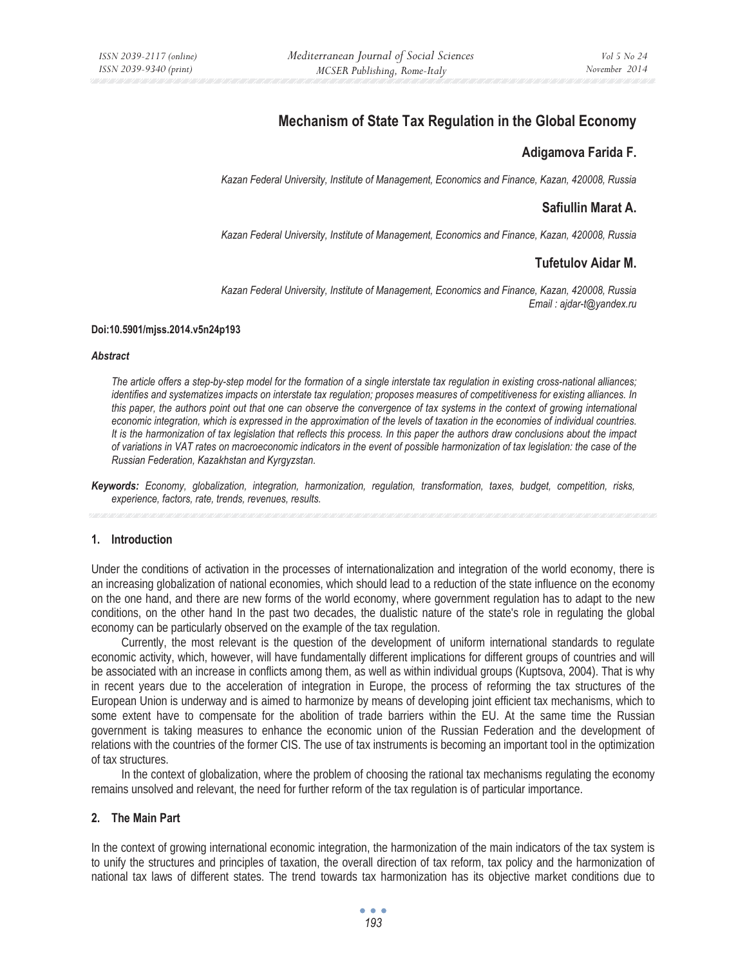# **Mechanism of State Tax Regulation in the Global Economy**

## **Adigamova Farida F.**

*Kazan Federal University, Institute of Management, Economics and Finance, Kazan, 420008, Russia* 

# **Safiullin Marat A.**

*Kazan Federal University, Institute of Management, Economics and Finance, Kazan, 420008, Russia* 

# **Tufetulov Aidar M.**

*Kazan Federal University, Institute of Management, Economics and Finance, Kazan, 420008, Russia Email : ajdar-t@yandex.ru* 

#### **Doi:10.5901/mjss.2014.v5n24p193**

#### *Abstract*

*The article offers a step-by-step model for the formation of a single interstate tax regulation in existing cross-national alliances; identifies and systematizes impacts on interstate tax regulation; proposes measures of competitiveness for existing alliances. In this paper, the authors point out that one can observe the convergence of tax systems in the context of growing international economic integration, which is expressed in the approximation of the levels of taxation in the economies of individual countries. It is the harmonization of tax legislation that reflects this process. In this paper the authors draw conclusions about the impact of variations in VAT rates on macroeconomic indicators in the event of possible harmonization of tax legislation: the case of the Russian Federation, Kazakhstan and Kyrgyzstan.* 

*Keywords: Economy, globalization, integration, harmonization, regulation, transformation, taxes, budget, competition, risks, experience, factors, rate, trends, revenues, results.* 

## **1. Introduction**

Under the conditions of activation in the processes of internationalization and integration of the world economy, there is an increasing globalization of national economies, which should lead to a reduction of the state influence on the economy on the one hand, and there are new forms of the world economy, where government regulation has to adapt to the new conditions, on the other hand In the past two decades, the dualistic nature of the state's role in regulating the global economy can be particularly observed on the example of the tax regulation.

Currently, the most relevant is the question of the development of uniform international standards to regulate economic activity, which, however, will have fundamentally different implications for different groups of countries and will be associated with an increase in conflicts among them, as well as within individual groups (Kuptsova, 2004). That is why in recent years due to the acceleration of integration in Europe, the process of reforming the tax structures of the European Union is underway and is aimed to harmonize by means of developing joint efficient tax mechanisms, which to some extent have to compensate for the abolition of trade barriers within the EU. At the same time the Russian government is taking measures to enhance the economic union of the Russian Federation and the development of relations with the countries of the former CIS. The use of tax instruments is becoming an important tool in the optimization of tax structures.

In the context of globalization, where the problem of choosing the rational tax mechanisms regulating the economy remains unsolved and relevant, the need for further reform of the tax regulation is of particular importance.

### **2. The Main Part**

In the context of growing international economic integration, the harmonization of the main indicators of the tax system is to unify the structures and principles of taxation, the overall direction of tax reform, tax policy and the harmonization of national tax laws of different states. The trend towards tax harmonization has its objective market conditions due to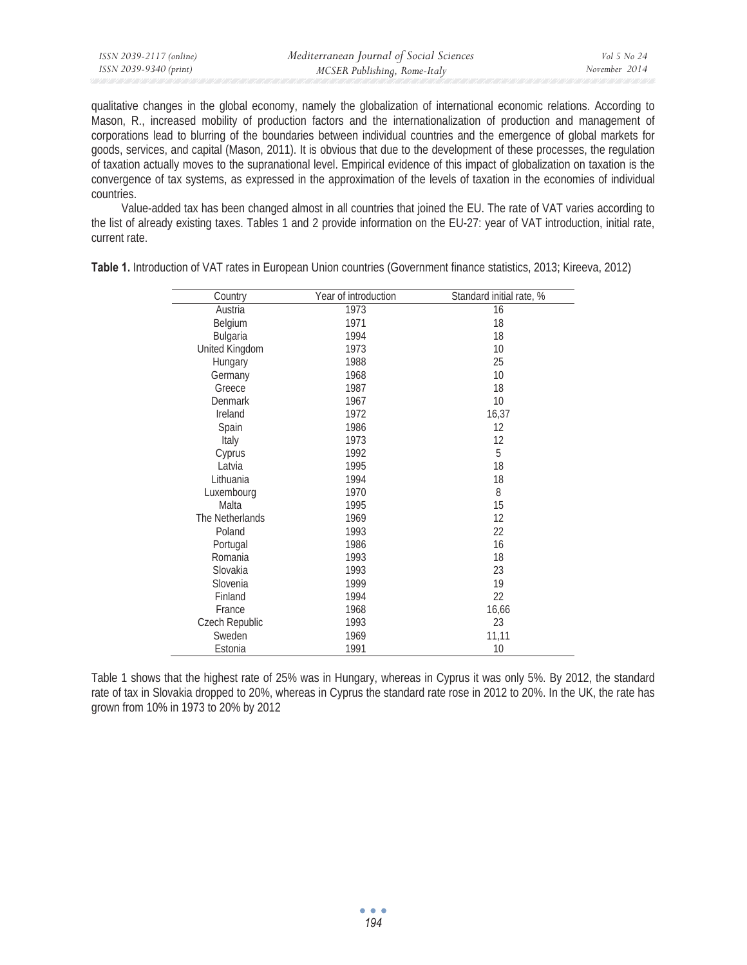qualitative changes in the global economy, namely the globalization of international economic relations. According to Mason, R., increased mobility of production factors and the internationalization of production and management of corporations lead to blurring of the boundaries between individual countries and the emergence of global markets for goods, services, and capital (Mason, 2011). It is obvious that due to the development of these processes, the regulation of taxation actually moves to the supranational level. Empirical evidence of this impact of globalization on taxation is the convergence of tax systems, as expressed in the approximation of the levels of taxation in the economies of individual countries.

Value-added tax has been changed almost in all countries that joined the EU. The rate of VAT varies according to the list of already existing taxes. Tables 1 and 2 provide information on the EU-27: year of VAT introduction, initial rate, current rate.

| Country         | Year of introduction | Standard initial rate, % |
|-----------------|----------------------|--------------------------|
| Austria         | 1973                 | 16                       |
| Belgium         | 1971                 | 18                       |
| <b>Bulgaria</b> | 1994                 | 18                       |
| United Kingdom  | 1973                 | 10                       |
| Hungary         | 1988                 | 25                       |
| Germany         | 1968                 | 10                       |
| Greece          | 1987                 | 18                       |
| Denmark         | 1967                 | 10                       |
| Ireland         | 1972                 | 16,37                    |
| Spain           | 1986                 | 12                       |
| Italy           | 1973                 | 12                       |
| Cyprus          | 1992                 | 5                        |
| Latvia          | 1995                 | 18                       |
| Lithuania       | 1994                 | 18                       |
| Luxembourg      | 1970                 | 8                        |
| Malta           | 1995                 | 15                       |
| The Netherlands | 1969                 | 12                       |
| Poland          | 1993                 | 22                       |
| Portugal        | 1986                 | 16                       |
| Romania         | 1993                 | 18                       |
| Slovakia        | 1993                 | 23                       |
| Slovenia        | 1999                 | 19                       |
| Finland         | 1994                 | 22                       |
| France          | 1968                 | 16,66                    |
| Czech Republic  | 1993                 | 23                       |
| Sweden          | 1969                 | 11,11                    |
| Estonia         | 1991                 | 10                       |

**Table 1.** Introduction of VAT rates in European Union countries (Government finance statistics, 2013; Kireeva, 2012)

Table 1 shows that the highest rate of 25% was in Hungary, whereas in Cyprus it was only 5%. By 2012, the standard rate of tax in Slovakia dropped to 20%, whereas in Cyprus the standard rate rose in 2012 to 20%. In the UK, the rate has grown from 10% in 1973 to 20% by 2012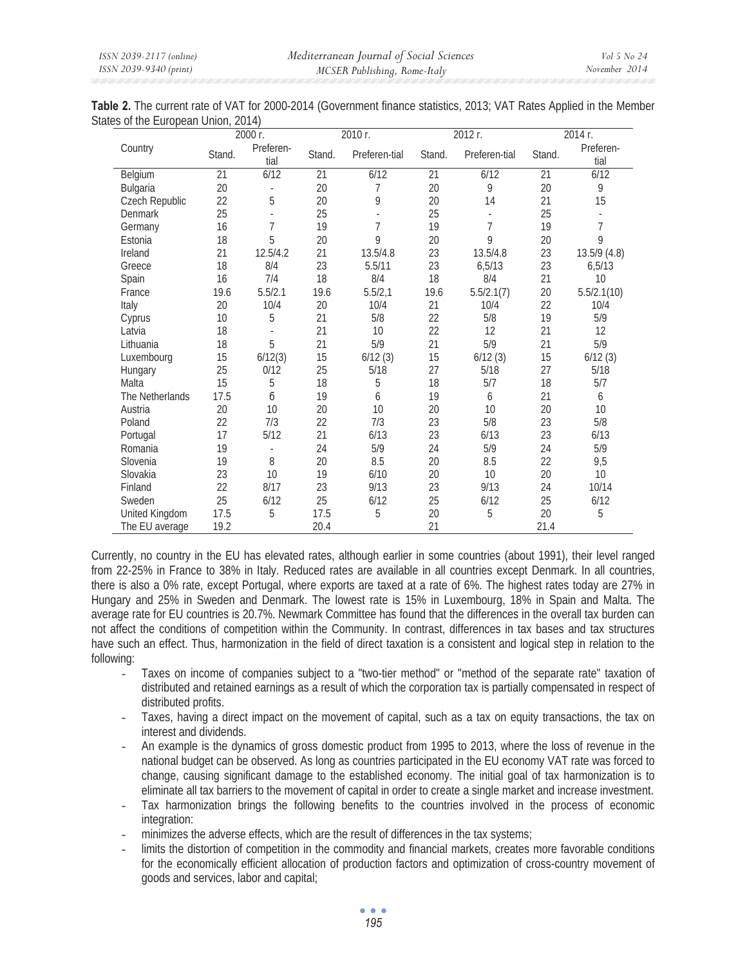|                                     | Table 2. The current rate of VAT for 2000-2014 (Government finance statistics, 2013; VAT Rates Applied in the Member |
|-------------------------------------|----------------------------------------------------------------------------------------------------------------------|
| States of the European Union, 2014) |                                                                                                                      |

|                 | 2000 г.         |                   |                 | 2010 г.       |                 | 2012 г.       |                 | 2014 г.           |  |
|-----------------|-----------------|-------------------|-----------------|---------------|-----------------|---------------|-----------------|-------------------|--|
| Country         | Stand.          | Preferen-<br>tial | Stand.          | Preferen-tial | Stand.          | Preferen-tial | Stand.          | Preferen-<br>tial |  |
| Belgium         | $\overline{21}$ | 6/12              | $\overline{21}$ | 6/12          | $\overline{21}$ | 6/12          | $\overline{21}$ | 6/12              |  |
| Bulgaria        | 20              |                   | 20              | 7             | 20              | 9             | 20              | 9                 |  |
| Czech Republic  | 22              | 5                 | 20              | 9             | 20              | 14            | 21              | 15                |  |
| <b>Denmark</b>  | 25              |                   | 25              |               | 25              |               | 25              |                   |  |
| Germany         | 16              | $\overline{1}$    | 19              | 7             | 19              | 7             | 19              | 7                 |  |
| Estonia         | 18              | 5                 | 20              | 9             | 20              | 9             | 20              | 9                 |  |
| Ireland         | 21              | 12.5/4.2          | 21              | 13.5/4.8      | 23              | 13.5/4.8      | 23              | 13.5/9(4.8)       |  |
| Greece          | 18              | 8/4               | 23              | 5.5/11        | 23              | 6,5/13        | 23              | 6,5/13            |  |
| Spain           | 16              | 7/4               | 18              | 8/4           | 18              | 8/4           | 21              | 10                |  |
| France          | 19.6            | 5.5/2.1           | 19.6            | 5.5/2,1       | 19.6            | 5.5/2.1(7)    | 20              | 5.5/2.1(10)       |  |
| Italy           | 20              | 10/4              | 20              | 10/4          | 21              | 10/4          | 22              | 10/4              |  |
| Cyprus          | 10              | 5                 | 21              | 5/8           | 22              | 5/8           | 19              | 5/9               |  |
| Latvia          | 18              |                   | 21              | 10            | 22              | 12            | 21              | 12                |  |
| Lithuania       | 18              | 5                 | 21              | 5/9           | 21              | 5/9           | 21              | 5/9               |  |
| Luxembourg      | 15              | 6/12(3)           | 15              | 6/12(3)       | 15              | 6/12(3)       | 15              | 6/12(3)           |  |
| Hungary         | 25              | 0/12              | 25              | 5/18          | 27              | 5/18          | 27              | 5/18              |  |
| Malta           | 15              | 5                 | 18              | 5             | 18              | 5/7           | 18              | 5/7               |  |
| The Netherlands | 17.5            | б                 | 19              | 6             | 19              | 6             | 21              | 6                 |  |
| Austria         | 20              | 10                | 20              | 10            | 20              | 10            | 20              | 10                |  |
| Poland          | 22              | 7/3               | 22              | 7/3           | 23              | 5/8           | 23              | 5/8               |  |
| Portugal        | 17              | 5/12              | 21              | 6/13          | 23              | 6/13          | 23              | 6/13              |  |
| Romania         | 19              |                   | 24              | 5/9           | 24              | 5/9           | 24              | 5/9               |  |
| Slovenia        | 19              | 8                 | 20              | 8.5           | 20              | 8.5           | 22              | 9,5               |  |
| Slovakia        | 23              | 10                | 19              | 6/10          | 20              | 10            | 20              | 10                |  |
| Finland         | 22              | 8/17              | 23              | 9/13          | 23              | 9/13          | 24              | 10/14             |  |
| Sweden          | 25              | 6/12              | 25              | 6/12          | 25              | 6/12          | 25              | 6/12              |  |
| United Kingdom  | 17.5            | 5                 | 17.5            | 5             | 20              | 5             | 20              | 5                 |  |
| The EU average  | 19.2            |                   | 20.4            |               | 21              |               | 21.4            |                   |  |

Currently, no country in the EU has elevated rates, although earlier in some countries (about 1991), their level ranged from 22-25% in France to 38% in Italy. Reduced rates are available in all countries except Denmark. In all countries, there is also a 0% rate, except Portugal, where exports are taxed at a rate of 6%. The highest rates today are 27% in Hungary and 25% in Sweden and Denmark. The lowest rate is 15% in Luxembourg, 18% in Spain and Malta. The average rate for EU countries is 20.7%. Newmark Committee has found that the differences in the overall tax burden can not affect the conditions of competition within the Community. In contrast, differences in tax bases and tax structures have such an effect. Thus, harmonization in the field of direct taxation is a consistent and logical step in relation to the following:

- Taxes on income of companies subject to a "two-tier method" or "method of the separate rate" taxation of distributed and retained earnings as a result of which the corporation tax is partially compensated in respect of distributed profits.
- Taxes, having a direct impact on the movement of capital, such as a tax on equity transactions, the tax on interest and dividends.
- An example is the dynamics of gross domestic product from 1995 to 2013, where the loss of revenue in the national budget can be observed. As long as countries participated in the EU economy VAT rate was forced to change, causing significant damage to the established economy. The initial goal of tax harmonization is to eliminate all tax barriers to the movement of capital in order to create a single market and increase investment.
- Tax harmonization brings the following benefits to the countries involved in the process of economic integration:
- minimizes the adverse effects, which are the result of differences in the tax systems;
- limits the distortion of competition in the commodity and financial markets, creates more favorable conditions for the economically efficient allocation of production factors and optimization of cross-country movement of goods and services, labor and capital;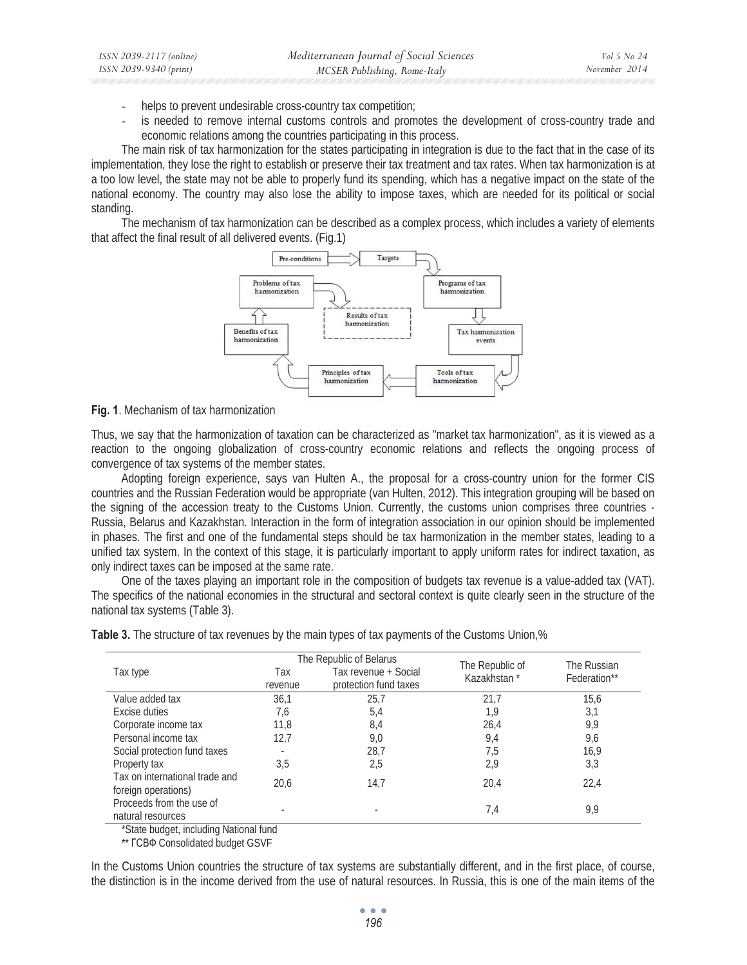- helps to prevent undesirable cross-country tax competition;
- is needed to remove internal customs controls and promotes the development of cross-country trade and economic relations among the countries participating in this process.

The main risk of tax harmonization for the states participating in integration is due to the fact that in the case of its implementation, they lose the right to establish or preserve their tax treatment and tax rates. When tax harmonization is at a too low level, the state may not be able to properly fund its spending, which has a negative impact on the state of the national economy. The country may also lose the ability to impose taxes, which are needed for its political or social standing.

The mechanism of tax harmonization can be described as a complex process, which includes a variety of elements that affect the final result of all delivered events. (Fig.1)



### **Fig. 1**. Mechanism of tax harmonization

*ISSN 2039-2117 (online) ISSN 2039-9340 (print)* 

Thus, we say that the harmonization of taxation can be characterized as "market tax harmonization", as it is viewed as a reaction to the ongoing globalization of cross-country economic relations and reflects the ongoing process of convergence of tax systems of the member states.

Adopting foreign experience, says van Hulten A., the proposal for a cross-country union for the former CIS countries and the Russian Federation would be appropriate (van Hulten, 2012). This integration grouping will be based on the signing of the accession treaty to the Customs Union. Currently, the customs union comprises three countries - Russia, Belarus and Kazakhstan. Interaction in the form of integration association in our opinion should be implemented in phases. The first and one of the fundamental steps should be tax harmonization in the member states, leading to a unified tax system. In the context of this stage, it is particularly important to apply uniform rates for indirect taxation, as only indirect taxes can be imposed at the same rate.

One of the taxes playing an important role in the composition of budgets tax revenue is a value-added tax (VAT). The specifics of the national economies in the structural and sectoral context is quite clearly seen in the structure of the national tax systems (Table 3).

|                                                       |                | The Republic of Belarus                       |                                | The Russian  |  |
|-------------------------------------------------------|----------------|-----------------------------------------------|--------------------------------|--------------|--|
| Tax type                                              | Tax<br>revenue | Tax revenue + Social<br>protection fund taxes | The Republic of<br>Kazakhstan* | Federation** |  |
| Value added tax                                       | 36,1           | 25.7                                          | 21,7                           | 15,6         |  |
| Excise duties                                         | 7,6            | 5,4                                           | 1,9                            | 3,1          |  |
| Corporate income tax                                  | 11,8           | 8,4                                           | 26,4                           | 9,9          |  |
| Personal income tax                                   | 12,7           | 9,0                                           | 9,4                            | 9,6          |  |
| Social protection fund taxes                          | $\overline{a}$ | 28,7                                          | 7,5                            | 16,9         |  |
| Property tax                                          | 3,5            | 2,5                                           | 2,9                            | 3,3          |  |
| Tax on international trade and<br>foreign operations) | 20,6           | 14,7                                          | 20,4                           | 22,4         |  |
| Proceeds from the use of<br>natural resources         |                |                                               | 7,4                            | 9,9          |  |

**Table 3.** The structure of tax revenues by the main types of tax payments of the Customs Union,%

\*State budget, including National fund

\*\*  $ICB\Phi$  Consolidated budget GSVF

In the Customs Union countries the structure of tax systems are substantially different, and in the first place, of course, the distinction is in the income derived from the use of natural resources. In Russia, this is one of the main items of the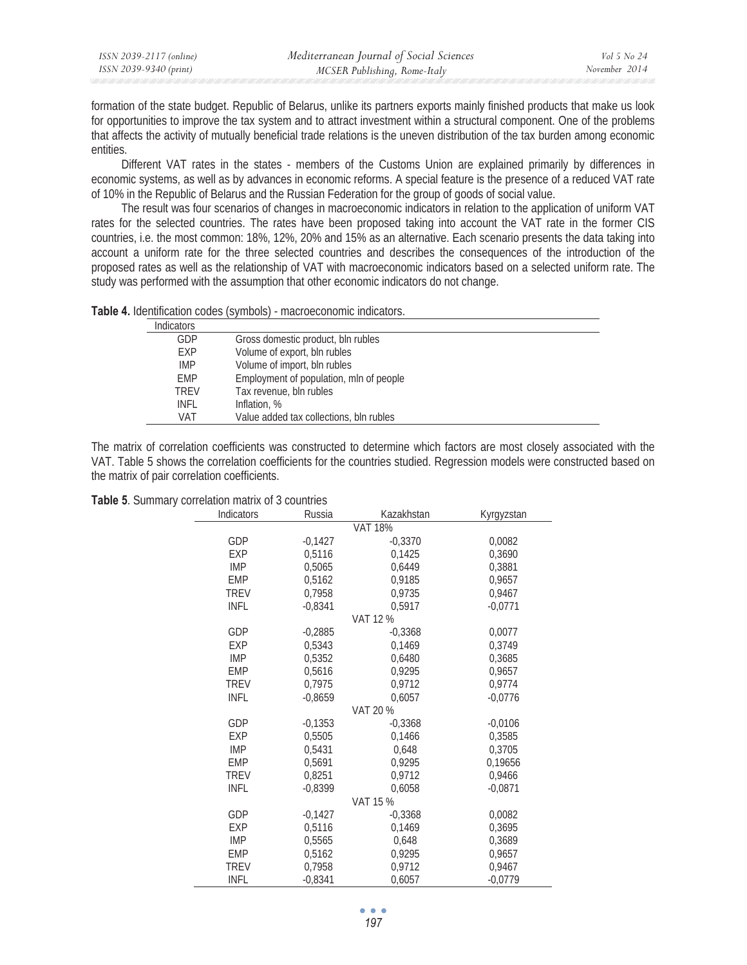| ISSN 2039-2117 (online) | Mediterranean Journal of Social Sciences | Vol 5 No 24   |
|-------------------------|------------------------------------------|---------------|
| ISSN 2039-9340 (print)  | MCSER Publishing, Rome-Italy             | November 2014 |

formation of the state budget. Republic of Belarus, unlike its partners exports mainly finished products that make us look for opportunities to improve the tax system and to attract investment within a structural component. One of the problems that affects the activity of mutually beneficial trade relations is the uneven distribution of the tax burden among economic entities.

Different VAT rates in the states - members of the Customs Union are explained primarily by differences in economic systems, as well as by advances in economic reforms. A special feature is the presence of a reduced VAT rate of 10% in the Republic of Belarus and the Russian Federation for the group of goods of social value.

The result was four scenarios of changes in macroeconomic indicators in relation to the application of uniform VAT rates for the selected countries. The rates have been proposed taking into account the VAT rate in the former CIS countries, i.e. the most common: 18%, 12%, 20% and 15% as an alternative. Each scenario presents the data taking into account a uniform rate for the three selected countries and describes the consequences of the introduction of the proposed rates as well as the relationship of VAT with macroeconomic indicators based on a selected uniform rate. The study was performed with the assumption that other economic indicators do not change.

| <b>Indicators</b> |                                         |
|-------------------|-----------------------------------------|
| GDP               | Gross domestic product, bln rubles      |
| EXP               | Volume of export, bln rubles            |
| <b>IMP</b>        | Volume of import, bln rubles            |
| <b>EMP</b>        | Employment of population, mln of people |
| TRFV              | Tax revenue, bln rubles                 |
| <b>INFL</b>       | Inflation, %                            |
| VAT               | Value added tax collections, bln rubles |

The matrix of correlation coefficients was constructed to determine which factors are most closely associated with the VAT. Table 5 shows the correlation coefficients for the countries studied. Regression models were constructed based on the matrix of pair correlation coefficients.

| Indicators  | Russia    | Kazakhstan     | Kyrgyzstan |
|-------------|-----------|----------------|------------|
|             |           | <b>VAT 18%</b> |            |
| GDP         | $-0,1427$ | $-0,3370$      | 0,0082     |
| <b>EXP</b>  | 0,5116    | 0,1425         | 0,3690     |
| <b>IMP</b>  | 0,5065    | 0,6449         | 0,3881     |
| <b>EMP</b>  | 0,5162    | 0,9185         | 0,9657     |
| <b>TREV</b> | 0,7958    | 0,9735         | 0.9467     |
| <b>INFL</b> | $-0,8341$ | 0,5917         | $-0,0771$  |
|             |           | VAT 12 %       |            |
| GDP         | $-0,2885$ | $-0,3368$      | 0,0077     |
| <b>EXP</b>  | 0,5343    | 0,1469         | 0,3749     |
| <b>IMP</b>  | 0,5352    | 0,6480         | 0,3685     |
| <b>EMP</b>  | 0,5616    | 0,9295         | 0,9657     |
| <b>TREV</b> | 0,7975    | 0,9712         | 0,9774     |
| <b>INFL</b> | $-0,8659$ | 0,6057         | $-0,0776$  |
|             |           | VAT 20 %       |            |
| GDP         | $-0,1353$ | $-0,3368$      | $-0,0106$  |
| <b>EXP</b>  | 0,5505    | 0,1466         | 0,3585     |
| <b>IMP</b>  | 0.5431    | 0.648          | 0,3705     |
| <b>EMP</b>  | 0,5691    | 0,9295         | 0,19656    |
| <b>TREV</b> | 0,8251    | 0,9712         | 0,9466     |
| <b>INFL</b> | $-0.8399$ | 0,6058         | $-0,0871$  |
|             |           | VAT 15 %       |            |
| GDP         | $-0,1427$ | $-0,3368$      | 0,0082     |
| <b>EXP</b>  | 0,5116    | 0,1469         | 0,3695     |
| <b>IMP</b>  | 0,5565    | 0,648          | 0,3689     |
| <b>EMP</b>  | 0,5162    | 0,9295         | 0,9657     |
| <b>TREV</b> | 0,7958    | 0,9712         | 0,9467     |
| <b>INFL</b> | $-0.8341$ | 0,6057         | $-0.0779$  |

**Table 5**. Summary correlation matrix of 3 countries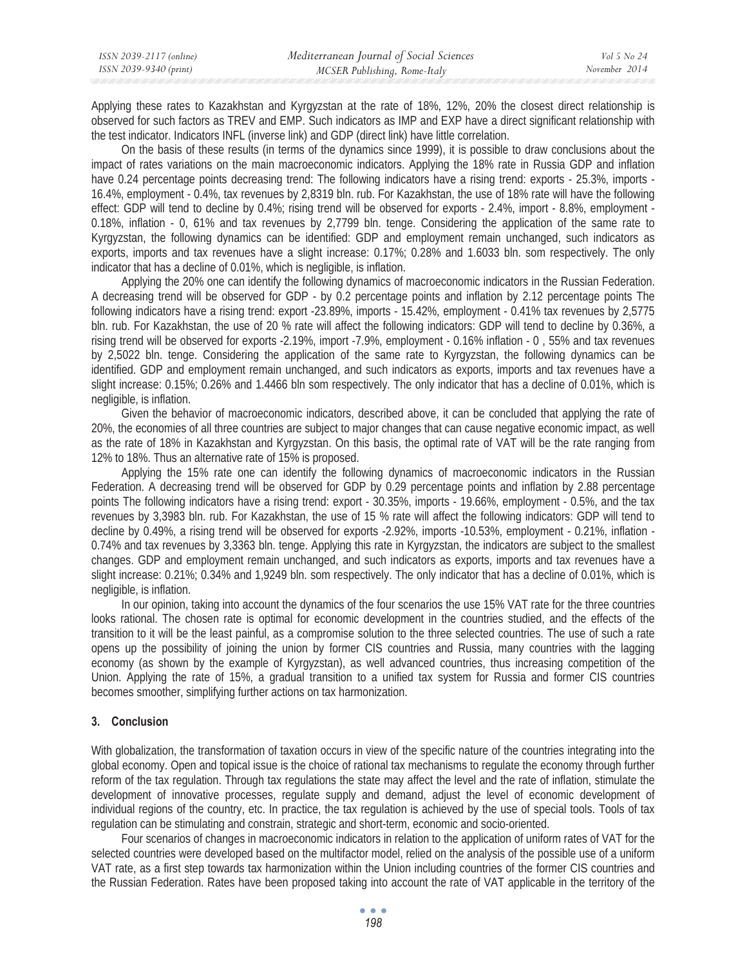| ISSN 2039-2117 (online) | Mediterranean Journal of Social Sciences | Vol 5 No 24   |
|-------------------------|------------------------------------------|---------------|
| ISSN 2039-9340 (print)  | MCSER Publishing, Rome-Italy             | November 2014 |

Applying these rates to Kazakhstan and Kyrgyzstan at the rate of 18%, 12%, 20% the closest direct relationship is observed for such factors as TREV and EMP. Such indicators as IMP and EXP have a direct significant relationship with the test indicator. Indicators INFL (inverse link) and GDP (direct link) have little correlation.

On the basis of these results (in terms of the dynamics since 1999), it is possible to draw conclusions about the impact of rates variations on the main macroeconomic indicators. Applying the 18% rate in Russia GDP and inflation have 0.24 percentage points decreasing trend: The following indicators have a rising trend: exports - 25.3%, imports - 16.4%, employment - 0.4%, tax revenues by 2,8319 bln. rub. For Kazakhstan, the use of 18% rate will have the following effect: GDP will tend to decline by 0.4%; rising trend will be observed for exports - 2.4%, import - 8.8%, employment - 0.18%, inflation - 0, 61% and tax revenues by 2,7799 bln. tenge. Considering the application of the same rate to Kyrgyzstan, the following dynamics can be identified: GDP and employment remain unchanged, such indicators as exports, imports and tax revenues have a slight increase: 0.17%; 0.28% and 1.6033 bln. som respectively. The only indicator that has a decline of 0.01%, which is negligible, is inflation.

Applying the 20% one can identify the following dynamics of macroeconomic indicators in the Russian Federation. A decreasing trend will be observed for GDP - by 0.2 percentage points and inflation by 2.12 percentage points The following indicators have a rising trend: export -23.89%, imports - 15.42%, employment - 0.41% tax revenues by 2,5775 bln. rub. For Kazakhstan, the use of 20 % rate will affect the following indicators: GDP will tend to decline by 0.36%, a rising trend will be observed for exports -2.19%, import -7.9%, employment - 0.16% inflation - 0 , 55% and tax revenues by 2,5022 bln. tenge. Considering the application of the same rate to Kyrgyzstan, the following dynamics can be identified. GDP and employment remain unchanged, and such indicators as exports, imports and tax revenues have a slight increase: 0.15%; 0.26% and 1.4466 bln som respectively. The only indicator that has a decline of 0.01%, which is negligible, is inflation.

Given the behavior of macroeconomic indicators, described above, it can be concluded that applying the rate of 20%, the economies of all three countries are subject to major changes that can cause negative economic impact, as well as the rate of 18% in Kazakhstan and Kyrgyzstan. On this basis, the optimal rate of VAT will be the rate ranging from 12% to 18%. Thus an alternative rate of 15% is proposed.

Applying the 15% rate one can identify the following dynamics of macroeconomic indicators in the Russian Federation. A decreasing trend will be observed for GDP by 0.29 percentage points and inflation by 2.88 percentage points The following indicators have a rising trend: export - 30.35%, imports - 19.66%, employment - 0.5%, and the tax revenues by 3,3983 bln. rub. For Kazakhstan, the use of 15 % rate will affect the following indicators: GDP will tend to decline by 0.49%, a rising trend will be observed for exports -2.92%, imports -10.53%, employment - 0.21%, inflation - 0.74% and tax revenues by 3,3363 bln. tenge. Applying this rate in Kyrgyzstan, the indicators are subject to the smallest changes. GDP and employment remain unchanged, and such indicators as exports, imports and tax revenues have a slight increase: 0.21%; 0.34% and 1,9249 bln. som respectively. The only indicator that has a decline of 0.01%, which is negligible, is inflation.

In our opinion, taking into account the dynamics of the four scenarios the use 15% VAT rate for the three countries looks rational. The chosen rate is optimal for economic development in the countries studied, and the effects of the transition to it will be the least painful, as a compromise solution to the three selected countries. The use of such a rate opens up the possibility of joining the union by former CIS countries and Russia, many countries with the lagging economy (as shown by the example of Kyrgyzstan), as well advanced countries, thus increasing competition of the Union. Applying the rate of 15%, a gradual transition to a unified tax system for Russia and former CIS countries becomes smoother, simplifying further actions on tax harmonization.

## **3. Conclusion**

With globalization, the transformation of taxation occurs in view of the specific nature of the countries integrating into the global economy. Open and topical issue is the choice of rational tax mechanisms to regulate the economy through further reform of the tax regulation. Through tax regulations the state may affect the level and the rate of inflation, stimulate the development of innovative processes, regulate supply and demand, adjust the level of economic development of individual regions of the country, etc. In practice, the tax regulation is achieved by the use of special tools. Tools of tax regulation can be stimulating and constrain, strategic and short-term, economic and socio-oriented.

Four scenarios of changes in macroeconomic indicators in relation to the application of uniform rates of VAT for the selected countries were developed based on the multifactor model, relied on the analysis of the possible use of a uniform VAT rate, as a first step towards tax harmonization within the Union including countries of the former CIS countries and the Russian Federation. Rates have been proposed taking into account the rate of VAT applicable in the territory of the